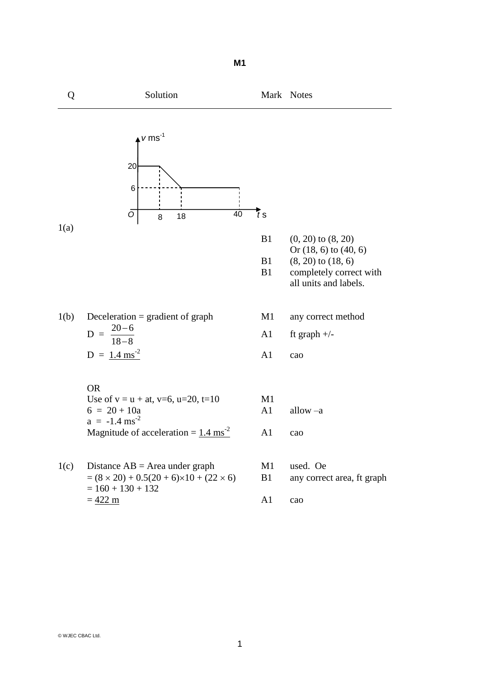

1

**M1**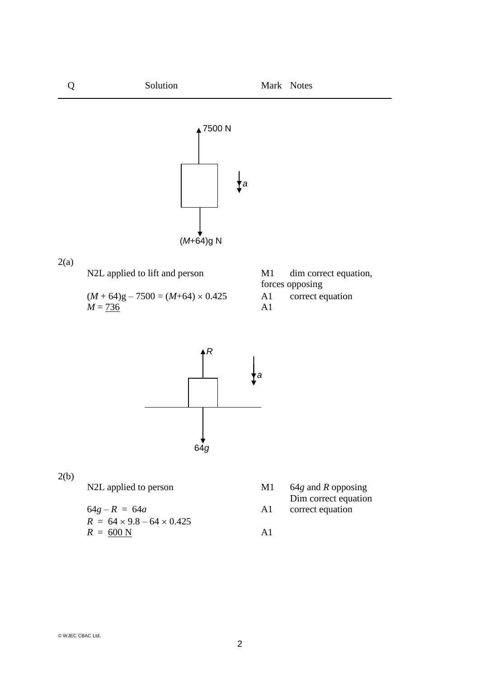

2(b)

$$
64g - R = 64a
$$
  
\n
$$
R = 64 \times 9.8 - 64 \times 0.425
$$
  
\n
$$
R = \underline{600 \text{ N}}
$$
  
\nA1

- N2L applied to person M1 64*g* and *R* opposing Dim correct equation
	- 64*g R* = 64*a* A1 correct equation
	-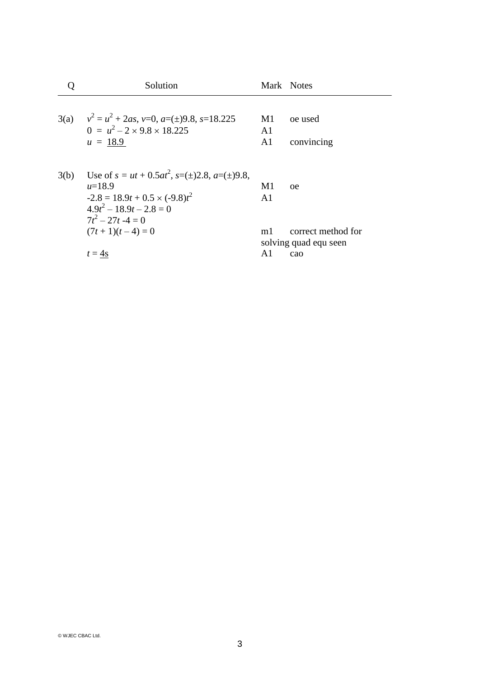|      | Solution                                                                                                                                     |                                        | Mark Notes                                         |
|------|----------------------------------------------------------------------------------------------------------------------------------------------|----------------------------------------|----------------------------------------------------|
|      | 3(a) $v^2 = u^2 + 2as$ , v=0, a=( $\pm$ )9.8, s=18.225<br>$0 = u^2 - 2 \times 9.8 \times 18.225$<br>$u = 18.9$                               | M1<br>A <sub>1</sub><br>A <sub>1</sub> | oe used<br>convincing                              |
| 3(b) | Use of $s = ut + 0.5at^2$ , $s=(\pm)2.8$ , $a=(\pm)9.8$ ,<br>$u=18.9$<br>$-2.8 = 18.9t + 0.5 \times (-9.8)t^2$<br>$4.9t^2 - 18.9t - 2.8 = 0$ | M1<br>A <sub>1</sub>                   | <sub>oe</sub>                                      |
|      | $7t^2 - 27t - 4 = 0$<br>$(7t+1)(t-4)=0$<br>$t = 4s$                                                                                          | m <sub>1</sub><br>A <sub>1</sub>       | correct method for<br>solving quad equ seen<br>cao |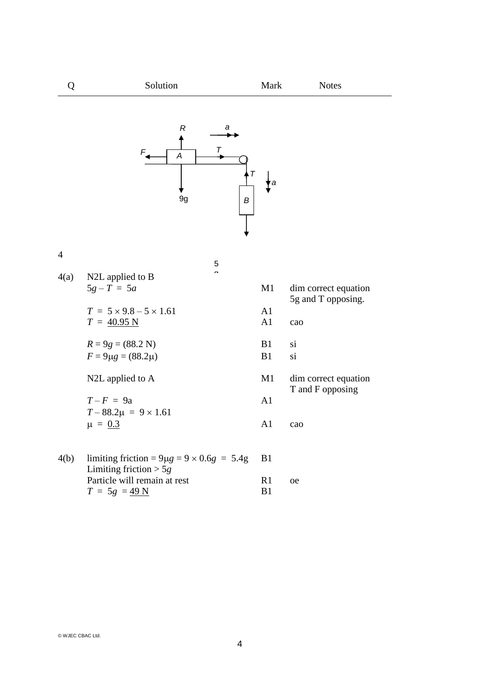## Q Solution Mark Notes



## 4

|      | 5                                                     |                |                                            |
|------|-------------------------------------------------------|----------------|--------------------------------------------|
| 4(a) | N2L applied to B                                      |                |                                            |
|      | $5g - T = 5a$                                         | M1             | dim correct equation<br>5g and T opposing. |
|      | $T = 5 \times 9.8 - 5 \times 1.61$                    | A1             |                                            |
|      | $T = 40.95 N$                                         | A <sub>1</sub> | cao                                        |
|      | $R = 9g = (88.2 N)$                                   | B <sub>1</sub> | si                                         |
|      | $F = 9\mu g = (88.2\mu)$                              | B <sub>1</sub> | si                                         |
|      | N2L applied to A                                      | M1             | dim correct equation<br>T and F opposing   |
|      | $T-F = 9a$                                            | A1             |                                            |
|      | $T - 88.2\mu = 9 \times 1.61$                         |                |                                            |
|      | $\mu = 0.3$                                           | A1             | cao                                        |
| 4(b) | limiting friction = $9\mu$ g = $9 \times 0.6g = 5.4g$ | B1             |                                            |
|      |                                                       |                |                                            |

Limiting friction > 5*g* Particle will remain at rest R1 oe<br>  $T = 5g = 49$  N B1  $T = 5g = 49 N$ 

| 1      | cao                                     |
|--------|-----------------------------------------|
| 1<br>1 | Sİ.<br>si                               |
| Г1     | dim correct equatio<br>T and F opposing |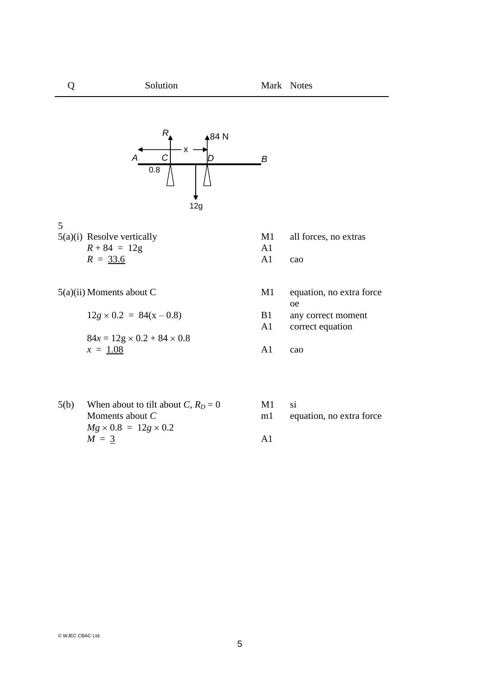Q Solution Mark Notes



## 5

5(a)(i) Resolve vertically M1 all forces, no extras  $R + 84 = 12g$  A1<br>  $R = 33.6$  A1  $R = 33.6$  A1 cao

 $5(a)(ii)$  Moments about C M<sub>1</sub>

$$
12g \times 0.2 = 84(x - 0.8)
$$
 B1 any  
84x = 12g \times 0.2 + 84 \times 0.8  
x = 1.08  
1 2g  
1 2g  
1 2g  
2.1 2g  
3.2 3.2 4  
41 2a

| Moments about C                        | M1 | equation, no extra force            |
|----------------------------------------|----|-------------------------------------|
| $12g \times 0.2 = 84(x - 0.8)$         | B1 | <sub>oe</sub><br>any correct moment |
| $84x = 12g \times 0.2 + 84 \times 0.8$ | A1 | correct equation                    |
| $x = 1.08$                             | A1 | cao                                 |

| 5(b) | When about to tilt about C, $R_D = 0$ | M1             |                          |
|------|---------------------------------------|----------------|--------------------------|
|      | Moments about $C$                     | m <sub>1</sub> | equation, no extra force |
|      | $Mg \times 0.8 = 12g \times 0.2$      |                |                          |
|      | $M = 3$                               | ΑĨ             |                          |

| M1 | <b>S1</b>                |
|----|--------------------------|
| m1 | equation, no extra force |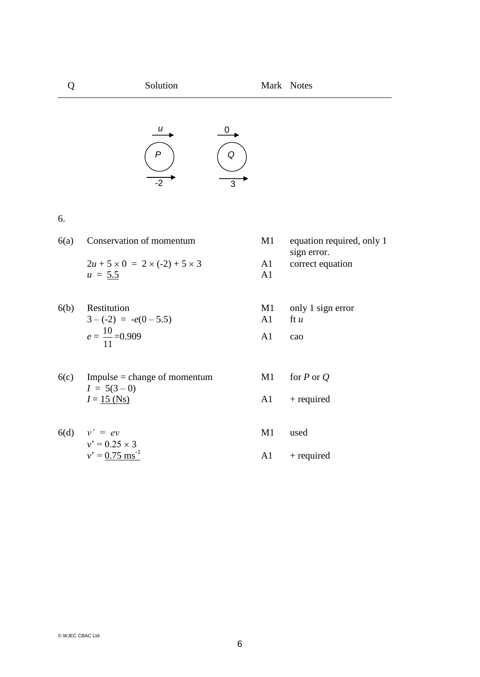## Q Solution Mark Notes *P Q*  $\frac{u}{2}$  0 -2 3

6.

6(a) Conservation of momentum M1 equation required, only 1  $2u + 5 \times 0 = 2 \times (-2) + 5 \times 3$  A1 correct equation  $u = 5.5$  A1

6(b) Restitution  
\n
$$
3 - (-2) = -e(0 - 5.5)
$$
  
\n $e = \frac{10}{11} = 0.909$   
\nA1 can  
\nA2 can

- 6(c) Impulse = change of momentum M1 for  $P$  or  $Q$  $I = 5(3-0)$  $I = 15$  (Ns)  $A1$  + required
- $6(d)$   $v' = ev$  M1 used  $v' = 0.25 \times 3$  $v' = 0.75 \text{ ms}^{-1}$  A1 + required
- sign error. 6(b) Restitution M1 only 1 sign error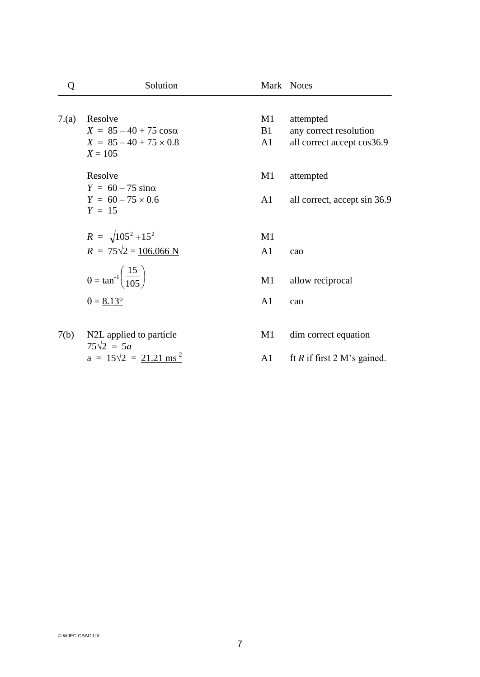| Q    | Solution                                           |                | Mark Notes                    |
|------|----------------------------------------------------|----------------|-------------------------------|
|      |                                                    |                |                               |
| 7(a) | Resolve                                            | $\mathbf{M}1$  | attempted                     |
|      | $X = 85 - 40 + 75 \cos \alpha$                     | <b>B</b> 1     | any correct resolution        |
|      | $X = 85 - 40 + 75 \times 0.8$<br>$X = 105$         | A1             | all correct accept cos36.9    |
|      | Resolve                                            | M1             | attempted                     |
|      | $Y = 60 - 75 \sin \alpha$                          |                |                               |
|      | $Y = 60 - 75 \times 0.6$                           | A1             | all correct, accept sin 36.9  |
|      | $Y = 15$                                           |                |                               |
|      | $R = \sqrt{105^2 + 15^2}$                          | M1             |                               |
|      | $R = 75\sqrt{2} = 106.066$ N                       | A <sub>1</sub> | cao                           |
|      |                                                    |                |                               |
|      | $\theta = \tan^{-1} \left( \frac{15}{105} \right)$ | M1             | allow reciprocal              |
|      | $\theta = 8.13^{\circ}$                            | A <sub>1</sub> | cao                           |
|      |                                                    |                |                               |
| 7(b) | N2L applied to particle                            | M1             | dim correct equation          |
|      | $75\sqrt{2} = 5a$                                  |                |                               |
|      | $a = 15\sqrt{2} = 21.21 \text{ ms}^{-2}$           | A1             | ft $R$ if first 2 M's gained. |